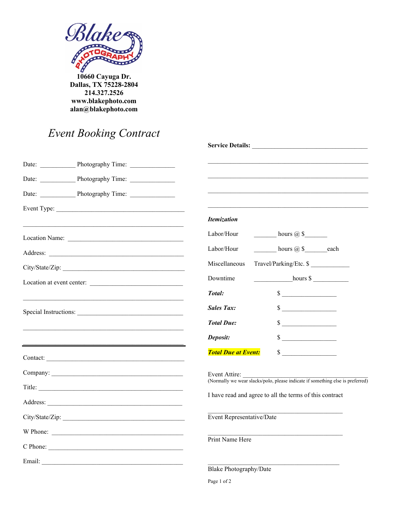

10660 Cayuga Dr.<br>Dallas, TX 75228-2804 214.327.2526 www.blakephoto.com alan@blakephoto.com

## Event Booking Contract

|                           | Service Details: New York Changes and Service Details:                         |
|---------------------------|--------------------------------------------------------------------------------|
|                           |                                                                                |
|                           |                                                                                |
|                           |                                                                                |
|                           |                                                                                |
|                           | <b>Itemization</b>                                                             |
|                           | $\frac{1}{2}$ hours $\omega$ \$<br>Labor/Hour                                  |
|                           | Labor/Hour<br>hours @ \$_______each                                            |
| City/State/Zip:           | Travel/Parking/Etc. \$<br>Miscellaneous                                        |
| Location at event center: | Downtime<br>hours \$                                                           |
|                           | $\sim$<br>Total:                                                               |
|                           | $\sim$<br><b>Sales Tax:</b>                                                    |
|                           | <b>Total Due:</b><br>$\sim$                                                    |
|                           | $\sim$<br>Deposit:                                                             |
|                           | <b>Total Due at Event:</b><br>$\sim$                                           |
|                           | Event Attire:                                                                  |
|                           | (Normally we wear slacks/polo, please indicate if something else is preferred) |
|                           | I have read and agree to all the terms of this contract                        |
|                           | Event Representative/Date                                                      |
| W Phone:                  |                                                                                |
| C Phone:                  | Print Name Here                                                                |
|                           |                                                                                |
|                           | <b>Blake Photography/Date</b>                                                  |
|                           | Page 1 of 2                                                                    |